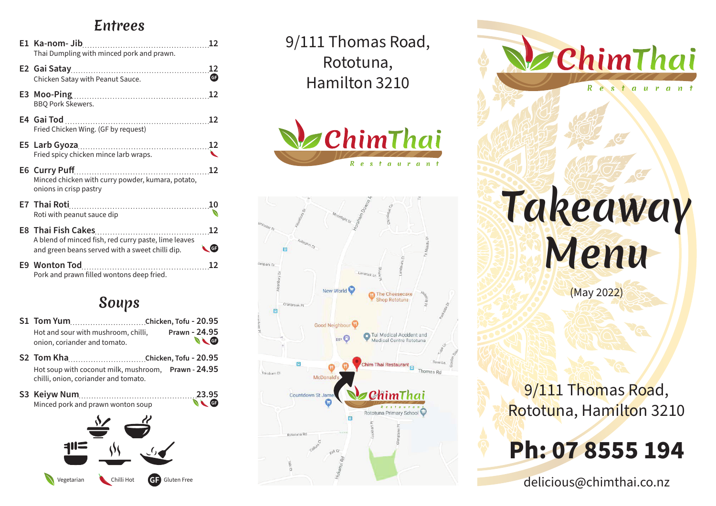#### Entrees

| Thai Dumpling with minced pork and prawn.                                                               |                      |
|---------------------------------------------------------------------------------------------------------|----------------------|
| Chicken Satay with Peanut Sauce.                                                                        | ⊕                    |
| <b>BBQ Pork Skewers.</b>                                                                                |                      |
| Fried Chicken Wing. (GF by request)                                                                     |                      |
| Fried spicy chicken mince larb wraps.                                                                   |                      |
| Minced chicken with curry powder, kumara, potato,<br>onions in crisp pastry                             |                      |
| E7 Thai Roti 2008<br>Roti with peanut sauce dip                                                         |                      |
| A blend of minced fish, red curry paste, lime leaves<br>and green beans served with a sweet chilli dip. | 12<br>$\blacksquare$ |
| Pork and prawn filled wontons deep fried.                                                               |                      |

#### Soups

| Hot and sour with mushroom, chilli,    | Prawn - 24.95  |
|----------------------------------------|----------------|
| onion, coriander and tomato.           | $\blacksquare$ |
| $CO = T_{\text{max}}$ $V_{\text{max}}$ |                |

- **S2 Tom Kha Chicken, Tofu 20.95** Hot soup with coconut milk, mushroom, **Prawn - 24.95** chilli, onion, coriander and tomato.
- **S3 Keiyw Num 23.95**<br>Minced pork and prawn wonton soup Minced pork and prawn wonton soup



9/111 Thomas Road, Rototuna, Hamilton 3210





ChimThai Restauran Takeaway Menu

(May 2022)

9/111 Thomas Road, Rototuna, Hamilton 3210

# **Ph: 07 8555 194**

delicious@chimthai.co.nz